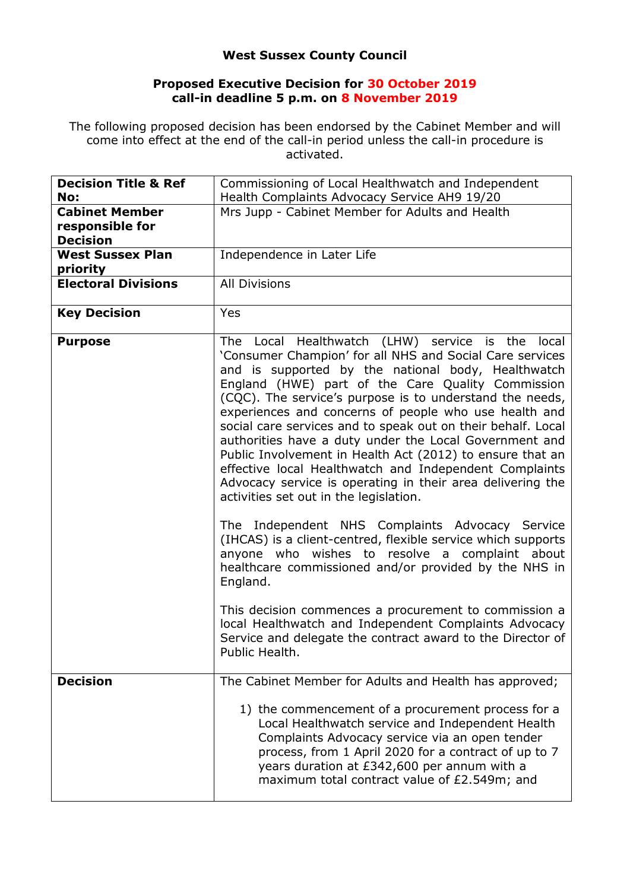## **West Sussex County Council**

## **Proposed Executive Decision for 30 October 2019 call-in deadline 5 p.m. on 8 November 2019**

The following proposed decision has been endorsed by the Cabinet Member and will come into effect at the end of the call-in period unless the call-in procedure is activated.

| <b>Decision Title &amp; Ref</b><br>No: | Commissioning of Local Healthwatch and Independent<br>Health Complaints Advocacy Service AH9 19/20                                                                                                                                                                                                                                                                                                                                                                                                                                                                                                                                                                                                       |
|----------------------------------------|----------------------------------------------------------------------------------------------------------------------------------------------------------------------------------------------------------------------------------------------------------------------------------------------------------------------------------------------------------------------------------------------------------------------------------------------------------------------------------------------------------------------------------------------------------------------------------------------------------------------------------------------------------------------------------------------------------|
| <b>Cabinet Member</b>                  | Mrs Jupp - Cabinet Member for Adults and Health                                                                                                                                                                                                                                                                                                                                                                                                                                                                                                                                                                                                                                                          |
| responsible for<br><b>Decision</b>     |                                                                                                                                                                                                                                                                                                                                                                                                                                                                                                                                                                                                                                                                                                          |
| <b>West Sussex Plan</b><br>priority    | Independence in Later Life                                                                                                                                                                                                                                                                                                                                                                                                                                                                                                                                                                                                                                                                               |
| <b>Electoral Divisions</b>             | <b>All Divisions</b>                                                                                                                                                                                                                                                                                                                                                                                                                                                                                                                                                                                                                                                                                     |
| <b>Key Decision</b>                    | Yes                                                                                                                                                                                                                                                                                                                                                                                                                                                                                                                                                                                                                                                                                                      |
| <b>Purpose</b>                         | The Local Healthwatch (LHW) service is the<br>local<br>'Consumer Champion' for all NHS and Social Care services<br>and is supported by the national body, Healthwatch<br>England (HWE) part of the Care Quality Commission<br>(CQC). The service's purpose is to understand the needs,<br>experiences and concerns of people who use health and<br>social care services and to speak out on their behalf. Local<br>authorities have a duty under the Local Government and<br>Public Involvement in Health Act (2012) to ensure that an<br>effective local Healthwatch and Independent Complaints<br>Advocacy service is operating in their area delivering the<br>activities set out in the legislation. |
|                                        | The Independent NHS Complaints Advocacy Service<br>(IHCAS) is a client-centred, flexible service which supports<br>anyone who wishes to resolve a complaint about<br>healthcare commissioned and/or provided by the NHS in<br>England.<br>This decision commences a procurement to commission a                                                                                                                                                                                                                                                                                                                                                                                                          |
|                                        | local Healthwatch and Independent Complaints Advocacy<br>Service and delegate the contract award to the Director of<br>Public Health.                                                                                                                                                                                                                                                                                                                                                                                                                                                                                                                                                                    |
| <b>Decision</b>                        | The Cabinet Member for Adults and Health has approved;                                                                                                                                                                                                                                                                                                                                                                                                                                                                                                                                                                                                                                                   |
|                                        | 1) the commencement of a procurement process for a<br>Local Healthwatch service and Independent Health<br>Complaints Advocacy service via an open tender<br>process, from 1 April 2020 for a contract of up to 7<br>years duration at £342,600 per annum with a<br>maximum total contract value of £2.549m; and                                                                                                                                                                                                                                                                                                                                                                                          |